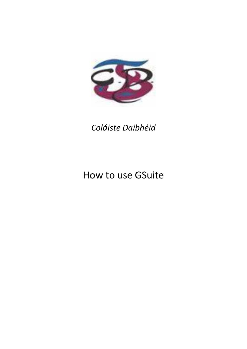

## *Coláiste Daibhéid*

# How to use GSuite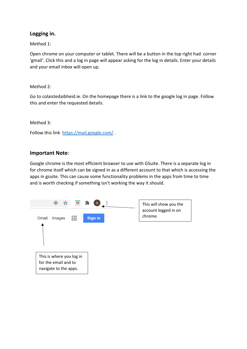#### **Logging in.**

#### Method 1:

Open chrome on your computer or tablet. There will be a button in the top right had corner 'gmail'. Click this and a log in page will appear asking for the log in details. Enter your details and your email inbox will open up.

#### Method 2:

Go to colaistedaibheid.ie. On the homepage there is a link to the google log in page. Follow this and enter the requested details.

#### Method 3:

Follow this link <https://mail.google.com/>.

#### **Important Note**:

Google chrome is the most efficient browser to use with GSuite. There is a separate log in for chrome itself which can be signed in as a different account to that which is accessing the apps in gsuite. This can cause some functionality problems in the apps from time to time and is worth checking if something isn't working the way it should.

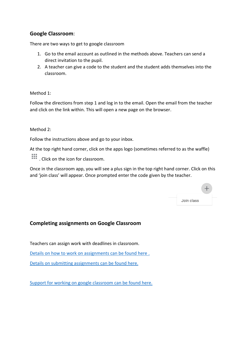### **Google Classroom**:

There are two ways to get to google classroom

- 1. Go to the email account as outlined in the methods above. Teachers can send a direct invitation to the pupil.
- 2. A teacher can give a code to the student and the student adds themselves into the classroom.

#### Method 1:

Follow the directions from step 1 and log in to the email. Open the email from the teacher and click on the link within. This will open a new page on the browser.

Method 2:

Follow the instructions above and go to your inbox.

At the top right hand corner, click on the apps logo (sometimes referred to as the waffle)

....<br>Click on the icon for classroom.

Once in the classroom app, you will see a plus sign in the top right hand corner. Click on this and 'join class' will appear. Once prompted enter the code given by the teacher.

| Join class |  |
|------------|--|

#### **Completing assignments on Google Classroom**

Teachers can assign work with deadlines in classroom.

[Details on how to work on assignments can be found here](https://support.google.com/edu/classroom/answer/9073815?hl=en&ref_topic=9050121) .

Details [on submitting assignments can be found here.](https://support.google.com/edu/classroom/answer/6020285?hl=en&co=GENIE.Platform%3DDesktop) 

[Support for working on google classroom can be found here.](https://support.google.com/edu/classroom#topic=6020277)